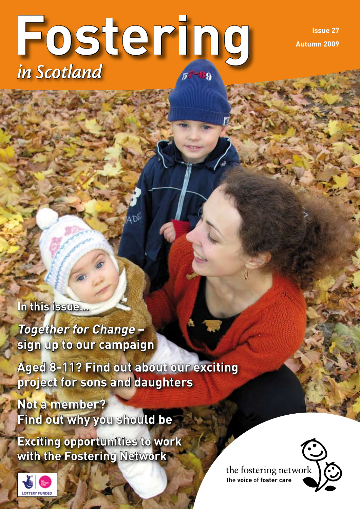# **Fostering** *in Scotland*

**Issue 27 Autumn 2009**

**In this issue…**

**Together for Change – sign up to our campaign**

**Aged 8-11? Find out about our exciting project for sons and daughters** 

**Not a member? Find out why you should be**

**Exciting opportunities to work with the Fostering Network**



the fostering network the **voice** of **foster care**

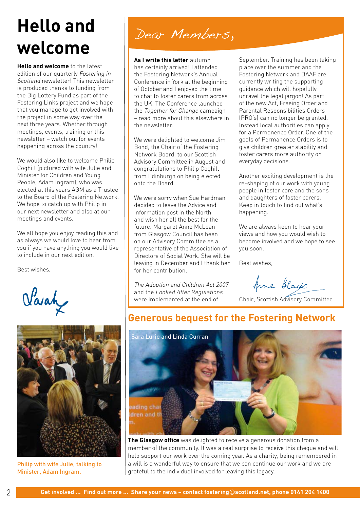# **Hello and welcome**

**Hello and welcome** to the latest edition of our quarterly Fostering in Scotland newsletter! This newsletter is produced thanks to funding from the Big Lottery Fund as part of the Fostering Links project and we hope that you manage to get involved with the project in some way over the next three years. Whether through meetings, events, training or this newsletter – watch out for events happening across the country!

We would also like to welcome Philip Coghill (pictured with wife Julie and Minister for Children and Young People, Adam Ingram), who was elected at this years AGM as a Trustee to the Board of the Fostering Network. We hope to catch up with Philip in our next newsletter and also at our meetings and events.

We all hope you enjoy reading this and as always we would love to hear from you if you have anything you would like to include in our next edition.

Best wishes,

Varah



Philip with wife Julie, talking to Minister, Adam Ingram.

# Dear Members,

**As I write this letter** autumn has certainly arrived! I attended the Fostering Network's Annual Conference in York at the beginning of October and I enjoyed the time to chat to foster carers from across the UK. The Conference launched the Together for Change campaign – read more about this elsewhere in the newsletter.

We were delighted to welcome Jim Bond, the Chair of the Fostering Network Board, to our Scottish Advisory Committee in August and congratulations to Philip Coghill from Edinburgh on being elected onto the Board.

We were sorry when Sue Hardman decided to leave the Advice and Information post in the North and wish her all the best for the future. Margaret Anne McLean from Glasgow Council has been on our Advisory Committee as a representative of the Association of Directors of Social Work. She will be leaving in December and I thank her for her contribution.

The Adoption and Children Act 2007 and the Looked After Regulations were implemented at the end of

September. Training has been taking place over the summer and the Fostering Network and BAAF are currently writing the supporting guidance which will hopefully unravel the legal jargon! As part of the new Act, Freeing Order and Parental Responsibilities Orders (PRO's) can no longer be granted. Instead local authorities can apply for a Permanence Order. One of the goals of Permanence Orders is to give children greater stability and foster carers more authority on everyday decisions.

Another exciting development is the re-shaping of our work with young people in foster care and the sons and daughters of foster carers. Keep in touch to find out what's happening.

We are always keen to hear your views and how you would wish to become involved and we hope to see you soon.

Best wishes,

Anne Black

Chair, Scottish Advisory Committee

#### **Generous bequest for the Fostering Network**



**The Glasgow office** was delighted to receive a generous donation from a member of the community. It was a real surprise to receive this cheque and will help support our work over the coming year. As a charity, being remembered in a will is a wonderful way to ensure that we can continue our work and we are grateful to the individual involved for leaving this legacy.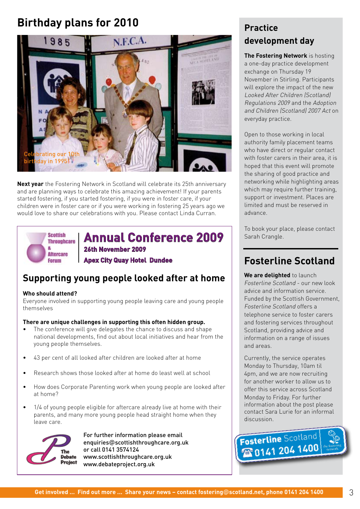### **Birthday plans for 2010**



**Next year** the Fostering Network in Scotland will celebrate its 25th anniversary and are planning ways to celebrate this amazing achievement! If your parents started fostering, if you started fostering, if you were in foster care, if your children were in foster care or if you were working in fostering 25 years ago we would love to share our celebrations with you. Please contact Linda Curran.



**Annual Conference 2009 26th November 2009** 

**Apex City Quay Hotel Dundee**

#### **Supporting young people looked after at home**

#### **Who should attend?**

Everyone involved in supporting young people leaving care and young people themselves

#### **There are unique challenges in supporting this often hidden group.**

- The conference will give delegates the chance to discuss and shape national developments, find out about local initiatives and hear from the young people themselves. •
- 43 per cent of all looked after children are looked after at home •
- Research shows those looked after at home do least well at school •
- How does Corporate Parenting work when young people are looked after at home? •
- 1/4 of young people eligible for aftercare already live at home with their parents, and many more young people head straight home when they leave care. •



For further information please email enquiries@scottishthroughcare.org.uk or call 0141 3574124 www.scottishthroughcare.org.uk www.debateproject.org.uk

#### **Practice development day**

**The Fostering Network** is hosting a one-day practice development exchange on Thursday 19 November in Stirling. Participants will explore the impact of the new Looked After Children (Scotland) Regulations 2009 and the Adoption and Children (Scotland) 2007 Act on everyday practice.

Open to those working in local authority family placement teams who have direct or regular contact with foster carers in their area, it is hoped that this event will promote the sharing of good practice and networking while highlighting areas which may require further training, support or investment. Places are limited and must be reserved in advance.

To book your place, please contact Sarah Crangle.

### **Fosterline Scotland**

**We are delighted** to launch Fosterline Scotland - our new look advice and information service. Funded by the Scottish Government, Fosterline Scotland offers a telephone service to foster carers and fostering services throughout Scotland, providing advice and information on a range of issues and areas.

Currently, the service operates Monday to Thursday, 10am til 4pm, and we are now recruiting for another worker to allow us to offer this service across Scotland Monday to Friday. For further information about the post please contact Sara Lurie for an informal discussion.

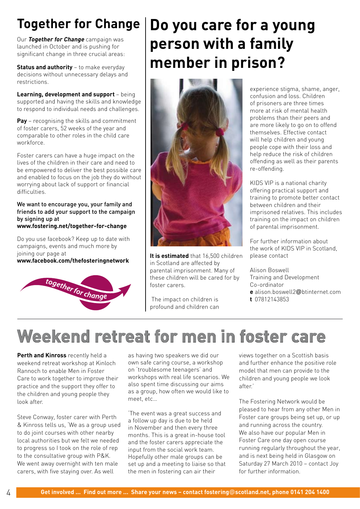# **Together for Change**

Our **Together for Change** campaign was launched in October and is pushing for significant change in three crucial areas:

**Status and authority** – to make everyday decisions without unnecessary delays and restrictions.

**Learning, development and support** – being supported and having the skills and knowledge to respond to individual needs and challenges.

**Pay** – recognising the skills and commitment of foster carers, 52 weeks of the year and comparable to other roles in the child care workforce.

Foster carers can have a huge impact on the lives of the children in their care and need to be empowered to deliver the best possible care and enabled to focus on the job they do without worrying about lack of support or financial difficulties.

We want to encourage you, your family and friends to add your support to the campaign by signing up at **www.fostering.net/together-for-change**

Do you use facebook? Keep up to date with campaigns, events and much more by joining our page at

**www.facebook.com/thefosteringnetwork** 



# **Do you care for a young person with a family member in prison?**



**It is estimated** that 16,500 children in Scotland are affected by parental imprisonment. Many of these children will be cared for by foster carers.

 The impact on children is profound and children can experience stigma, shame, anger, confusion and loss. Children of prisoners are three times more at risk of mental health problems than their peers and are more likely to go on to offend themselves. Effective contact will help children and young people cope with their loss and help reduce the risk of children offending as well as their parents re-offending.

KIDS VIP is a national charity offering practical support and training to promote better contact between children and their imprisoned relatives. This includes training on the impact on children of parental imprisonment.

For further information about the work of KIDS VIP in Scotland, please contact

Alison Boswell Training and Development Co-ordinator

- **e** alison.boswell2@btinternet.com
- **t** 07812143853

# **Weekend retreat for men in foster care**

**Perth and Kinross** recently held a weekend retreat workshop at Kinloch Rannoch to enable Men in Foster Care to work together to improve their practice and the support they offer to the children and young people they look after.

Steve Conway, foster carer with Perth & Kinross tells us, 'We as a group used to do joint courses with other nearby local authorities but we felt we needed to progress so I took on the role of rep to the consultative group with P&K. We went away overnight with ten male carers, with five staying over. As well

as having two speakers we did our own safe caring course, a workshop on 'troublesome teenagers' and workshops with real life scenarios. We also spent time discussing our aims as a group, how often we would like to meet, etc…

'The event was a great success and a follow up day is due to be held in November and then every three months. This is a great in-house tool and the foster carers appreciate the input from the social work team. Hopefully other male groups can be set up and a meeting to liaise so that the men in fostering can air their

views together on a Scottish basis and further enhance the positive role model that men can provide to the children and young people we look after.'

The Fostering Network would be pleased to hear from any other Men in Foster care groups being set up, or up and running across the country. We also have our popular Men in Foster Care one day open course running regularly throughout the year, and is next being held in Glasgow on Saturday 27 March 2010 – contact Joy for further information.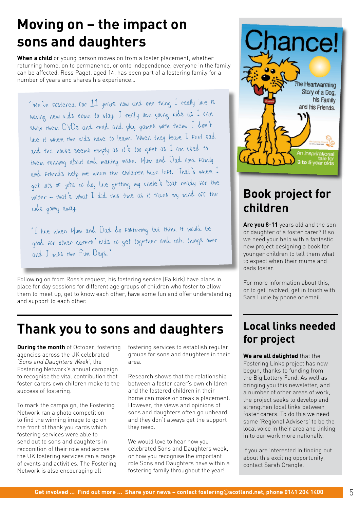# **Moving on – the impact on sons and daughters**

**When a child** or young person moves on from a foster placement, whether returning home, on to permanence, or onto independence, everyone in the family can be affected. Ross Paget, aged 14, has been part of a fostering family for a number of years and shares his experience…

'We've fostered for 11 years now and one thing I really like is having new kids come to stay. I really like young kids as I can show them DVDs and read and play games with them. I don'<sup>t</sup> like it when the kids have to leave. When they leave I feel sad and the house seems empty as it's too quiet as I am used to them running about and making noise. Mum and Dad and family and friends help me when the children have left. That's when I get lots of jobs to do, like getting my uncle's boat ready for the water – that's what I did this time as it takes my mind off the kids going away.

'I like when Mum and Dad do fostering but think it would be good for other carers' kids to get together and talk things over and I miss the Fun Days.'

Following on from Ross's request, his fostering service (Falkirk) have plans in place for day sessions for different age groups of children who foster to allow them to meet up, get to know each other, have some fun and offer understanding and support to each other.

## **Thank you to sons and daughters Local links needed**

**During the month** of October, fostering agencies across the UK celebrated 'Sons and Daughters Week', the Fostering Network's annual campaign to recognise the vital contribution that foster carers own children make to the success of fostering.

To mark the campaign, the Fostering Network ran a photo competition to find the winning image to go on the front of thank you cards which fostering services were able to send out to sons and daughters in recognition of their role and across the UK fostering services ran a range of events and activities. The Fostering Network is also encouraging all

fostering services to establish regular groups for sons and daughters in their area.

Research shows that the relationship between a foster carer's own children and the fostered children in their home can make or break a placement. However, the views and opinions of sons and daughters often go unheard and they don't always get the support they need.

We would love to hear how you celebrated Sons and Daughters week, or how you recognise the important role Sons and Daughters have within a fostering family throughout the year!



### **Book project for children**

**Are you 8-11** years old and the son or daughter of a foster carer? If so we need your help with a fantastic new project designing a book for younger children to tell them what to expect when their mums and dads foster.

For more information about this, or to get involved, get in touch with Sara Lurie by phone or email.

# **for project**

**We are all delighted** that the Fostering Links project has now begun, thanks to funding from the Big Lottery Fund. As well as bringing you this newsletter, and a number of other areas of work, the project seeks to develop and strengthen local links between foster carers. To do this we need some 'Regional Advisers' to be the local voice in their area and linking in to our work more nationally.

If you are interested in finding out about this exciting opportunity, contact Sarah Crangle.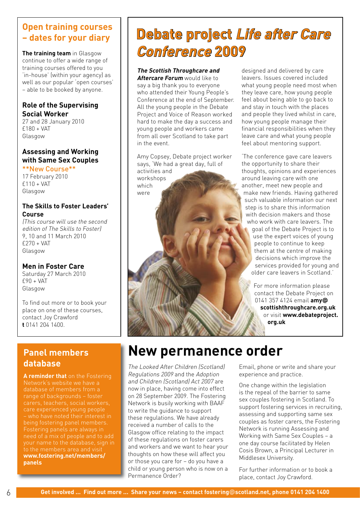#### **Open training courses – dates for your diary**

**The training team** in Glasgow continue to offer a wide range of training courses offered to you 'in-house' (within your agency) as well as our popular 'open courses' – able to be booked by anyone.

#### **Role of the Supervising Social Worker**

27 and 28 January 2010 £180 + VAT Glasgow

#### **Assessing and Working with Same Sex Couples**

\*\*New Course\*\* 17 February 2010 £110 + VAT Glasgow

#### **The Skills to Foster Leaders' Course**

(This course will use the second edition of The Skills to Foster) 9, 10 and 11 March 2010  $f270 + VAT$ Glasgow

#### **Men in Foster Care**

Saturday 27 March 2010 £90 + VAT Glasgow

To find out more or to book your place on one of these courses, contact Joy Crawford **t** 0141 204 1400.

#### **Panel members database**

**A reminder that** on the Fostering Network's website we have a database of members from a Fostering panels are always in need of a mix of people and to add your name to the database, sign in to the members area and visit **www.fostering.net/members/ panels**

# **Debate project Life after Care Conference 2009**

#### **The Scottish Throughcare and**

**Aftercare Forum** would like to say a big thank you to everyone who attended their Young People's Conference at the end of September. All the young people in the Debate Project and Voice of Reason worked hard to make the day a success and young people and workers came from all over Scotland to take part in the event.

Amy Copsey, Debate project worker says, 'We had a great day, full of activities and workshops which were

designed and delivered by care leavers. Issues covered included what young people need most when they leave care, how young people feel about being able to go back to and stay in touch with the places and people they lived whilst in care, how young people manage their financial responsibilities when they leave care and what young people feel about mentoring support.

'The conference gave care leavers the opportunity to share their thoughts, opinions and experiences around leaving care with one another, meet new people and make new friends. Having gathered such valuable information our next step is to share this information with decision makers and those who work with care leavers. The goal of the Debate Project is to use the expert voices of young people to continue to keep them at the centre of making decisions which improve the services provided for young and older care leavers in Scotland.'

> For more information please contact the Debate Project on 0141 357 4124 email **amy@ scottishthroughcare.org.uk** or visit **www.debateproject. org.uk**

# **New permanence order**

The Looked After Children (Scotland) Regulations 2009 and the Adoption and Children (Scotland) Act 2007 are now in place, having come into effect on 28 September 2009. The Fostering Network is busily working with BAAF to write the guidance to support these regulations. We have already received a number of calls to the Glasgow office relating to the impact of these regulations on foster carers and workers and we want to hear your thoughts on how these will affect you or those you care for – do you have a child or young person who is now on a Permanence Order?

Email, phone or write and share your experience and practice.

One change within the legislation is the repeal of the barrier to same sex couples fostering in Scotland. To support fostering services in recruiting, assessing and supporting same sex couples as foster carers, the Fostering Network is running Assessing and Working with Same Sex Couples – a one day course facilitated by Helen Cosis Brown, a Principal Lecturer in Middlesex University.

For further information or to book a place, contact Joy Crawford.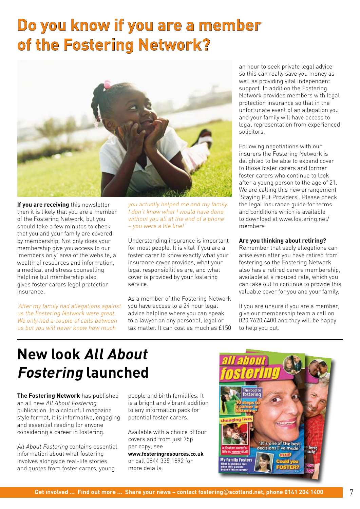# **Do you know if you are a member of the Fostering Network?**



**If you are receiving** this newsletter then it is likely that you are a member of the Fostering Network, but you should take a few minutes to check that you and your family are covered by membership. Not only does your membership give you access to our 'members only' area of the website, a wealth of resources and information, a medical and stress counselling helpline but membership also gives foster carers legal protection insurance.

'After my family had allegations against us the Fostering Network were great. We only had a couple of calls between us but you will never know how much

you actually helped me and my family. I don't know what I would have done without you all at the end of a phone – you were a life line!'

Understanding insurance is important for most people. It is vital if you are a foster carer to know exactly what your insurance cover provides, what your legal responsibilities are, and what cover is provided by your fostering service.

As a member of the Fostering Network you have access to a 24 hour legal advice helpline where you can speak to a lawyer on any personal, legal or tax matter. It can cost as much as £150

an hour to seek private legal advice so this can really save you money as well as providing vital independent support. In addition the Fostering Network provides members with legal protection insurance so that in the unfortunate event of an allegation you and your family will have access to legal representation from experienced solicitors.

Following negotiations with our insurers the Fostering Network is delighted to be able to expand cover to those foster carers and former foster carers who continue to look after a young person to the age of 21. We are calling this new arrangement 'Staying Put Providers'. Please check the legal insurance guide for terms and conditions which is available to download at www.fostering.net/ members

#### **Are you thinking about retiring?**

Remember that sadly allegations can arise even after you have retired from fostering so the Fostering Network also has a retired carers membership, available at a reduced rate, which you can take out to continue to provide this valuable cover for you and your family.

If you are unsure if you are a member, give our membership team a call on 020 7620 6400 and they will be happy to help you out.

# **New look All About Fostering launched**

**The Fostering Network** has published an all new All About Fostering publication. In a colourful magazine style format, it is informative, engaging and essential reading for anyone considering a career in fostering.

All About Fostering contains essential information about what fostering involves alongside real-life stories and quotes from foster carers, young

people and birth famililies. It is a bright and vibrant addition to any information pack for potential foster carers.

Available with a choice of four covers and from just 75p per copy, see **www.fosteringresources.co.uk** or call 0844 335 1892 for more details.